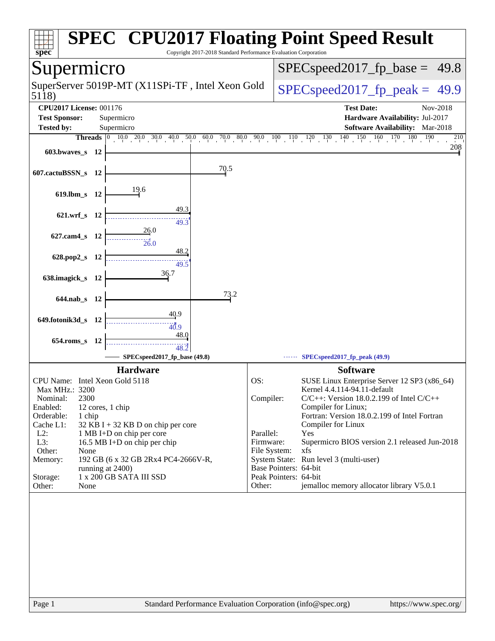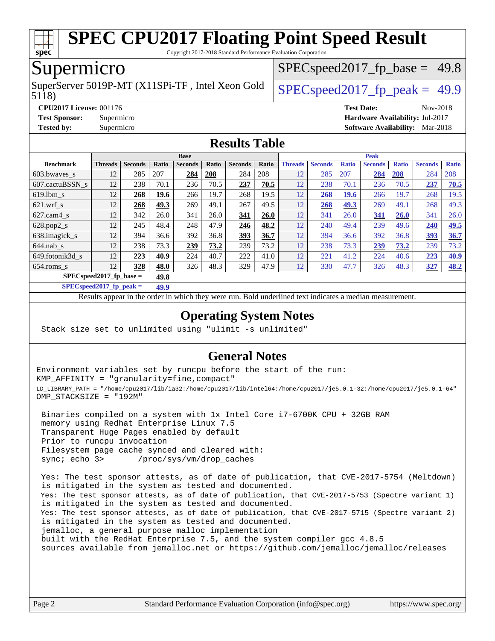

Copyright 2017-2018 Standard Performance Evaluation Corporation

# Supermicro

SuperServer 5019P-MT (X11SPi-TF, Intel Xeon Gold  $\big|$  SPECspeed 2017 fp\_peak = 49.9

 $SPECspeed2017<sub>fp</sub> base = 49.8$ 

#### 5118)

#### **[CPU2017 License:](http://www.spec.org/auto/cpu2017/Docs/result-fields.html#CPU2017License)** 001176 **[Test Date:](http://www.spec.org/auto/cpu2017/Docs/result-fields.html#TestDate)** Nov-2018 **[Test Sponsor:](http://www.spec.org/auto/cpu2017/Docs/result-fields.html#TestSponsor)** Supermicro **[Hardware Availability:](http://www.spec.org/auto/cpu2017/Docs/result-fields.html#HardwareAvailability)** Jul-2017

**[Tested by:](http://www.spec.org/auto/cpu2017/Docs/result-fields.html#Testedby)** Supermicro **[Software Availability:](http://www.spec.org/auto/cpu2017/Docs/result-fields.html#SoftwareAvailability)** Mar-2018

# **[Results Table](http://www.spec.org/auto/cpu2017/Docs/result-fields.html#ResultsTable)**

|                           | <b>Base</b>    |                |       |                |       |                | <b>Peak</b> |                |                |              |                |              |                |              |
|---------------------------|----------------|----------------|-------|----------------|-------|----------------|-------------|----------------|----------------|--------------|----------------|--------------|----------------|--------------|
| <b>Benchmark</b>          | <b>Threads</b> | <b>Seconds</b> | Ratio | <b>Seconds</b> | Ratio | <b>Seconds</b> | Ratio       | <b>Threads</b> | <b>Seconds</b> | <b>Ratio</b> | <b>Seconds</b> | <b>Ratio</b> | <b>Seconds</b> | <b>Ratio</b> |
| 603.bwayes s              | 12             | 285            | 207   | 284            | 208   | 284            | 208         | 12             | 285            | 207          | 284            | 208          | 284            | 208          |
| 607.cactuBSSN s           | 12             | 238            | 70.1  | 236            | 70.5  | 237            | 70.5        | 12             | 238            | 70.1         | 236            | 70.5         | 237            | 70.5         |
| $619.$ lbm s              | 12             | 268            | 19.6  | 266            | 19.7  | 268            | 19.5        | 12             | 268            | <b>19.6</b>  | 266            | 19.7         | 268            | 19.5         |
| $621$ .wrf s              | 12             | 268            | 49.3  | 269            | 49.1  | 267            | 49.5        | 12             | 268            | 49.3         | 269            | 49.1         | 268            | 49.3         |
| $627$ .cam4 s             | 12             | 342            | 26.0  | 341            | 26.0  | 341            | 26.0        | 12             | 341            | 26.0         | 341            | 26.0         | 341            | 26.0         |
| $628.pop2_s$              | 12             | 245            | 48.4  | 248            | 47.9  | 246            | 48.2        | 12             | 240            | 49.4         | 239            | 49.6         | 240            | 49.5         |
| 638.imagick_s             | 12             | 394            | 36.6  | 392            | 36.8  | 393            | 36.7        | 12             | 394            | 36.6         | 392            | 36.8         | 393            | 36.7         |
| $644$ .nab s              | 12             | 238            | 73.3  | 239            | 73.2  | 239            | 73.2        | 12             | 238            | 73.3         | 239            | 73.2         | 239            | 73.2         |
| 649.fotonik3d s           | 12             | 223            | 40.9  | 224            | 40.7  | 222            | 41.0        | 12             | 221            | 41.2         | 224            | 40.6         | 223            | <u>40.9</u>  |
| $654$ .roms s             | 12             | 328            | 48.0  | 326            | 48.3  | 329            | 47.9        | 12             | 330            | 47.7         | 326            | 48.3         | 327            | <u>48.2</u>  |
| $SPECspeed2017$ fp base = |                |                | 49.8  |                |       |                |             |                |                |              |                |              |                |              |

**[SPECspeed2017\\_fp\\_peak =](http://www.spec.org/auto/cpu2017/Docs/result-fields.html#SPECspeed2017fppeak) 49.9**

Results appear in the [order in which they were run.](http://www.spec.org/auto/cpu2017/Docs/result-fields.html#RunOrder) Bold underlined text [indicates a median measurement](http://www.spec.org/auto/cpu2017/Docs/result-fields.html#Median).

### **[Operating System Notes](http://www.spec.org/auto/cpu2017/Docs/result-fields.html#OperatingSystemNotes)**

Stack size set to unlimited using "ulimit -s unlimited"

### **[General Notes](http://www.spec.org/auto/cpu2017/Docs/result-fields.html#GeneralNotes)**

Environment variables set by runcpu before the start of the run: KMP\_AFFINITY = "granularity=fine,compact" LD\_LIBRARY\_PATH = "/home/cpu2017/lib/ia32:/home/cpu2017/lib/intel64:/home/cpu2017/je5.0.1-32:/home/cpu2017/je5.0.1-64" OMP\_STACKSIZE = "192M"

 Binaries compiled on a system with 1x Intel Core i7-6700K CPU + 32GB RAM memory using Redhat Enterprise Linux 7.5 Transparent Huge Pages enabled by default Prior to runcpu invocation Filesystem page cache synced and cleared with: sync; echo 3> /proc/sys/vm/drop\_caches

 Yes: The test sponsor attests, as of date of publication, that CVE-2017-5754 (Meltdown) is mitigated in the system as tested and documented. Yes: The test sponsor attests, as of date of publication, that CVE-2017-5753 (Spectre variant 1) is mitigated in the system as tested and documented. Yes: The test sponsor attests, as of date of publication, that CVE-2017-5715 (Spectre variant 2) is mitigated in the system as tested and documented. jemalloc, a general purpose malloc implementation built with the RedHat Enterprise 7.5, and the system compiler gcc 4.8.5 sources available from jemalloc.net or <https://github.com/jemalloc/jemalloc/releases>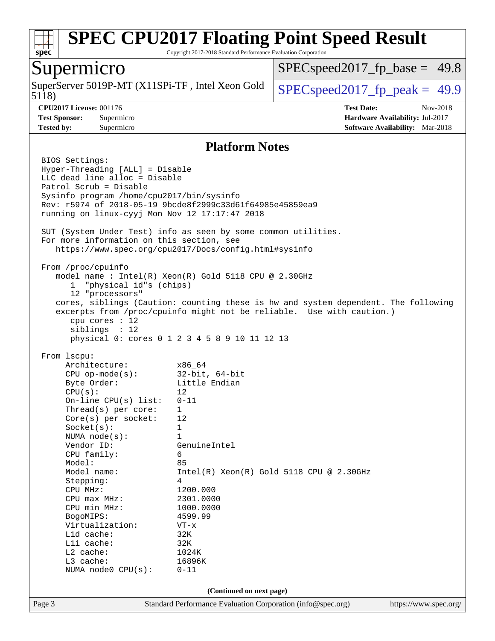

Copyright 2017-2018 Standard Performance Evaluation Corporation

### Supermicro

5118) SuperServer 5019P-MT (X11SPi-TF, Intel Xeon Gold  $\big|$  [SPECspeed2017\\_fp\\_peak =](http://www.spec.org/auto/cpu2017/Docs/result-fields.html#SPECspeed2017fppeak) 49.9

 $SPECspeed2017<sub>fp</sub> base = 49.8$ 

**[CPU2017 License:](http://www.spec.org/auto/cpu2017/Docs/result-fields.html#CPU2017License)** 001176 **[Test Date:](http://www.spec.org/auto/cpu2017/Docs/result-fields.html#TestDate)** Nov-2018 **[Test Sponsor:](http://www.spec.org/auto/cpu2017/Docs/result-fields.html#TestSponsor)** Supermicro **[Hardware Availability:](http://www.spec.org/auto/cpu2017/Docs/result-fields.html#HardwareAvailability)** Jul-2017 **[Tested by:](http://www.spec.org/auto/cpu2017/Docs/result-fields.html#Testedby)** Supermicro **[Software Availability:](http://www.spec.org/auto/cpu2017/Docs/result-fields.html#SoftwareAvailability)** Mar-2018

#### **[Platform Notes](http://www.spec.org/auto/cpu2017/Docs/result-fields.html#PlatformNotes)**

Page 3 Standard Performance Evaluation Corporation [\(info@spec.org\)](mailto:info@spec.org) <https://www.spec.org/> BIOS Settings: Hyper-Threading [ALL] = Disable LLC dead line alloc = Disable Patrol Scrub = Disable Sysinfo program /home/cpu2017/bin/sysinfo Rev: r5974 of 2018-05-19 9bcde8f2999c33d61f64985e45859ea9 running on linux-cyyj Mon Nov 12 17:17:47 2018 SUT (System Under Test) info as seen by some common utilities. For more information on this section, see <https://www.spec.org/cpu2017/Docs/config.html#sysinfo> From /proc/cpuinfo model name : Intel(R) Xeon(R) Gold 5118 CPU @ 2.30GHz 1 "physical id"s (chips) 12 "processors" cores, siblings (Caution: counting these is hw and system dependent. The following excerpts from /proc/cpuinfo might not be reliable. Use with caution.) cpu cores : 12 siblings : 12 physical 0: cores 0 1 2 3 4 5 8 9 10 11 12 13 From lscpu: Architecture: x86\_64 CPU op-mode(s): 32-bit, 64-bit Byte Order: Little Endian  $CPU(s):$  12 On-line CPU(s) list: 0-11 Thread(s) per core: 1 Core(s) per socket: 12 Socket(s): 1 NUMA node(s): 1 Vendor ID: GenuineIntel CPU family: 6 Model: 85 Model name: Intel(R) Xeon(R) Gold 5118 CPU @ 2.30GHz Stepping: 4 CPU MHz: 1200.000 CPU max MHz: 2301.0000 CPU min MHz: 1000.0000 BogoMIPS: 4599.99 Virtualization: VT-x L1d cache: 32K L1i cache: 32K L2 cache: 1024K L3 cache: 16896K NUMA node0 CPU(s): 0-11 **(Continued on next page)**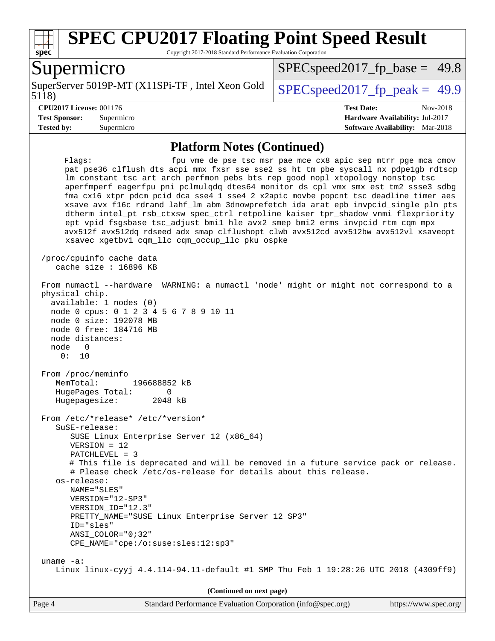

Copyright 2017-2018 Standard Performance Evaluation Corporation

### Supermicro

5118) SuperServer 5019P-MT (X11SPi-TF, Intel Xeon Gold  $\big|$  SPECspeed 2017 fp\_peak = 49.9

 $SPECspeed2017<sub>fp</sub> base = 49.8$ 

**[Tested by:](http://www.spec.org/auto/cpu2017/Docs/result-fields.html#Testedby)** Supermicro **[Software Availability:](http://www.spec.org/auto/cpu2017/Docs/result-fields.html#SoftwareAvailability)** Mar-2018

**[CPU2017 License:](http://www.spec.org/auto/cpu2017/Docs/result-fields.html#CPU2017License)** 001176 **[Test Date:](http://www.spec.org/auto/cpu2017/Docs/result-fields.html#TestDate)** Nov-2018 **[Test Sponsor:](http://www.spec.org/auto/cpu2017/Docs/result-fields.html#TestSponsor)** Supermicro **[Hardware Availability:](http://www.spec.org/auto/cpu2017/Docs/result-fields.html#HardwareAvailability)** Jul-2017

#### **[Platform Notes \(Continued\)](http://www.spec.org/auto/cpu2017/Docs/result-fields.html#PlatformNotes)**

Flags: fpu vme de pse tsc msr pae mce cx8 apic sep mtrr pge mca cmov pat pse36 clflush dts acpi mmx fxsr sse sse2 ss ht tm pbe syscall nx pdpe1gb rdtscp lm constant\_tsc art arch\_perfmon pebs bts rep\_good nopl xtopology nonstop\_tsc aperfmperf eagerfpu pni pclmulqdq dtes64 monitor ds\_cpl vmx smx est tm2 ssse3 sdbg fma cx16 xtpr pdcm pcid dca sse4\_1 sse4\_2 x2apic movbe popcnt tsc\_deadline\_timer aes xsave avx f16c rdrand lahf\_lm abm 3dnowprefetch ida arat epb invpcid\_single pln pts dtherm intel\_pt rsb\_ctxsw spec\_ctrl retpoline kaiser tpr\_shadow vnmi flexpriority ept vpid fsgsbase tsc\_adjust bmi1 hle avx2 smep bmi2 erms invpcid rtm cqm mpx avx512f avx512dq rdseed adx smap clflushopt clwb avx512cd avx512bw avx512vl xsaveopt xsavec xgetbv1 cqm\_llc cqm\_occup\_llc pku ospke /proc/cpuinfo cache data cache size : 16896 KB From numactl --hardware WARNING: a numactl 'node' might or might not correspond to a physical chip. available: 1 nodes (0) node 0 cpus: 0 1 2 3 4 5 6 7 8 9 10 11 node 0 size: 192078 MB node 0 free: 184716 MB node distances: node 0 0: 10 From /proc/meminfo MemTotal: 196688852 kB HugePages\_Total: 0 Hugepagesize: 2048 kB From /etc/\*release\* /etc/\*version\* SuSE-release: SUSE Linux Enterprise Server 12 (x86\_64) VERSION = 12 PATCHLEVEL = 3 # This file is deprecated and will be removed in a future service pack or release. # Please check /etc/os-release for details about this release. os-release: NAME="SLES" VERSION="12-SP3" VERSION\_ID="12.3" PRETTY\_NAME="SUSE Linux Enterprise Server 12 SP3" ID="sles" ANSI\_COLOR="0;32" CPE\_NAME="cpe:/o:suse:sles:12:sp3" uname -a: Linux linux-cyyj 4.4.114-94.11-default #1 SMP Thu Feb 1 19:28:26 UTC 2018 (4309ff9) **(Continued on next page)**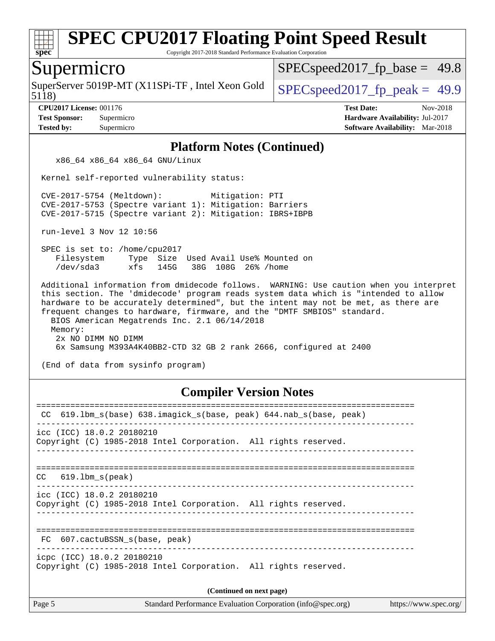

Copyright 2017-2018 Standard Performance Evaluation Corporation

### Supermicro

5118) SuperServer 5019P-MT (X11SPi-TF, Intel Xeon Gold  $\big|$  [SPECspeed2017\\_fp\\_peak =](http://www.spec.org/auto/cpu2017/Docs/result-fields.html#SPECspeed2017fppeak) 49.9

 $SPECspeed2017<sub>fp</sub> base = 49.8$ 

**[CPU2017 License:](http://www.spec.org/auto/cpu2017/Docs/result-fields.html#CPU2017License)** 001176 **[Test Date:](http://www.spec.org/auto/cpu2017/Docs/result-fields.html#TestDate)** Nov-2018 **[Test Sponsor:](http://www.spec.org/auto/cpu2017/Docs/result-fields.html#TestSponsor)** Supermicro **[Hardware Availability:](http://www.spec.org/auto/cpu2017/Docs/result-fields.html#HardwareAvailability)** Jul-2017 **[Tested by:](http://www.spec.org/auto/cpu2017/Docs/result-fields.html#Testedby)** Supermicro **[Software Availability:](http://www.spec.org/auto/cpu2017/Docs/result-fields.html#SoftwareAvailability)** Mar-2018

#### **[Platform Notes \(Continued\)](http://www.spec.org/auto/cpu2017/Docs/result-fields.html#PlatformNotes)**

x86\_64 x86\_64 x86\_64 GNU/Linux

Kernel self-reported vulnerability status:

 CVE-2017-5754 (Meltdown): Mitigation: PTI CVE-2017-5753 (Spectre variant 1): Mitigation: Barriers CVE-2017-5715 (Spectre variant 2): Mitigation: IBRS+IBPB

run-level 3 Nov 12 10:56

 SPEC is set to: /home/cpu2017 Filesystem Type Size Used Avail Use% Mounted on /dev/sda3 xfs 145G 38G 108G 26% /home

 Additional information from dmidecode follows. WARNING: Use caution when you interpret this section. The 'dmidecode' program reads system data which is "intended to allow hardware to be accurately determined", but the intent may not be met, as there are frequent changes to hardware, firmware, and the "DMTF SMBIOS" standard. BIOS American Megatrends Inc. 2.1 06/14/2018 Memory: 2x NO DIMM NO DIMM 6x Samsung M393A4K40BB2-CTD 32 GB 2 rank 2666, configured at 2400

(End of data from sysinfo program)

#### **[Compiler Version Notes](http://www.spec.org/auto/cpu2017/Docs/result-fields.html#CompilerVersionNotes)**

| CC 619.1bm_s(base) 638.imagick_s(base, peak) 644.nab_s(base, peak)                            |  |  |  |  |  |
|-----------------------------------------------------------------------------------------------|--|--|--|--|--|
| icc (ICC) 18.0.2 20180210<br>Copyright (C) 1985-2018 Intel Corporation. All rights reserved.  |  |  |  |  |  |
| $CC$ 619.1bm $s$ (peak)                                                                       |  |  |  |  |  |
| icc (ICC) 18.0.2 20180210<br>Copyright (C) 1985-2018 Intel Corporation. All rights reserved.  |  |  |  |  |  |
| FC 607.cactuBSSN s(base, peak)                                                                |  |  |  |  |  |
| icpc (ICC) 18.0.2 20180210<br>Copyright (C) 1985-2018 Intel Corporation. All rights reserved. |  |  |  |  |  |
| (Continued on next page)                                                                      |  |  |  |  |  |
|                                                                                               |  |  |  |  |  |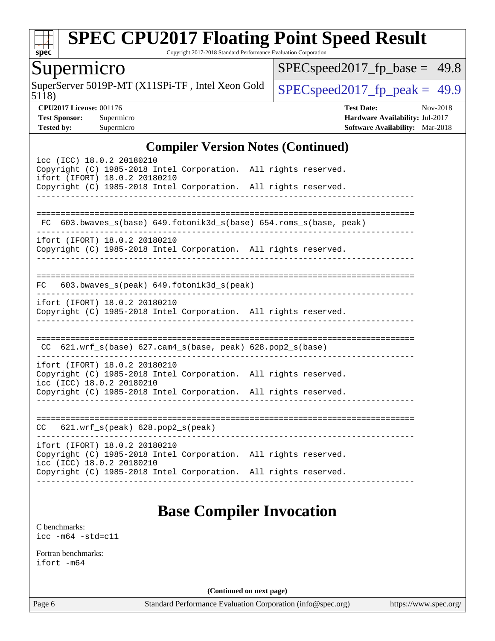

Copyright 2017-2018 Standard Performance Evaluation Corporation

# Supermicro

5118) SuperServer 5019P-MT (X11SPi-TF, Intel Xeon Gold  $\big|$  SPECspeed 2017 fp peak = 49.9

 $SPEC speed2017_fp\_base = 49.8$ 

**[CPU2017 License:](http://www.spec.org/auto/cpu2017/Docs/result-fields.html#CPU2017License)** 001176 **[Test Date:](http://www.spec.org/auto/cpu2017/Docs/result-fields.html#TestDate)** Nov-2018 **[Test Sponsor:](http://www.spec.org/auto/cpu2017/Docs/result-fields.html#TestSponsor)** Supermicro **[Hardware Availability:](http://www.spec.org/auto/cpu2017/Docs/result-fields.html#HardwareAvailability)** Jul-2017 **[Tested by:](http://www.spec.org/auto/cpu2017/Docs/result-fields.html#Testedby)** Supermicro **[Software Availability:](http://www.spec.org/auto/cpu2017/Docs/result-fields.html#SoftwareAvailability)** Mar-2018

#### **[Compiler Version Notes \(Continued\)](http://www.spec.org/auto/cpu2017/Docs/result-fields.html#CompilerVersionNotes)**

| icc (ICC) 18.0.2 20180210<br>Copyright (C) 1985-2018 Intel Corporation. All rights reserved.<br>ifort (IFORT) 18.0.2 20180210<br>Copyright (C) 1985-2018 Intel Corporation. All rights reserved. | $0.224 \mu A + 0.24 \mu A + 0.000$ |
|--------------------------------------------------------------------------------------------------------------------------------------------------------------------------------------------------|------------------------------------|
|                                                                                                                                                                                                  |                                    |
| 603.bwaves_s(base) 649.fotonik3d_s(base) 654.roms_s(base, peak)<br>FC.                                                                                                                           |                                    |
| ifort (IFORT) 18.0.2 20180210<br>Copyright (C) 1985-2018 Intel Corporation. All rights reserved.                                                                                                 | ------------------------------     |
| FC 603.bwaves_s(peak) 649.fotonik3d_s(peak)                                                                                                                                                      |                                    |
| ifort (IFORT) 18.0.2 20180210<br>Copyright (C) 1985-2018 Intel Corporation. All rights reserved.                                                                                                 |                                    |
| CC $621.wrf_s(base) 627.cam4_s(base, peak) 628.pop2_s(base)$                                                                                                                                     |                                    |
| ifort (IFORT) 18.0.2 20180210<br>Copyright (C) 1985-2018 Intel Corporation. All rights reserved.<br>icc (ICC) 18.0.2 20180210<br>Copyright (C) 1985-2018 Intel Corporation. All rights reserved. |                                    |
| 621.wrf_s(peak) 628.pop2_s(peak)<br>CC                                                                                                                                                           |                                    |
| ifort (IFORT) 18.0.2 20180210<br>Copyright (C) 1985-2018 Intel Corporation. All rights reserved.<br>icc (ICC) 18.0.2 20180210                                                                    |                                    |

# **[Base Compiler Invocation](http://www.spec.org/auto/cpu2017/Docs/result-fields.html#BaseCompilerInvocation)**

[C benchmarks](http://www.spec.org/auto/cpu2017/Docs/result-fields.html#Cbenchmarks): [icc -m64 -std=c11](http://www.spec.org/cpu2017/results/res2018q4/cpu2017-20181112-09650.flags.html#user_CCbase_intel_icc_64bit_c11_33ee0cdaae7deeeab2a9725423ba97205ce30f63b9926c2519791662299b76a0318f32ddfffdc46587804de3178b4f9328c46fa7c2b0cd779d7a61945c91cd35)

[Fortran benchmarks](http://www.spec.org/auto/cpu2017/Docs/result-fields.html#Fortranbenchmarks): [ifort -m64](http://www.spec.org/cpu2017/results/res2018q4/cpu2017-20181112-09650.flags.html#user_FCbase_intel_ifort_64bit_24f2bb282fbaeffd6157abe4f878425411749daecae9a33200eee2bee2fe76f3b89351d69a8130dd5949958ce389cf37ff59a95e7a40d588e8d3a57e0c3fd751)

**(Continued on next page)**

Page 6 Standard Performance Evaluation Corporation [\(info@spec.org\)](mailto:info@spec.org) <https://www.spec.org/>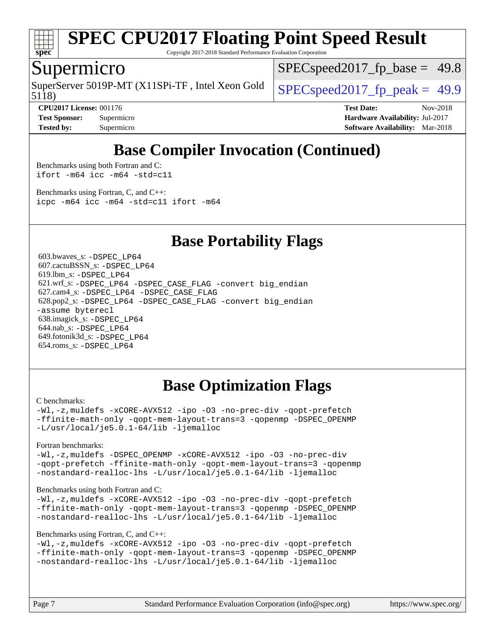

Copyright 2017-2018 Standard Performance Evaluation Corporation

### Supermicro

5118) SuperServer 5019P-MT (X11SPi-TF, Intel Xeon Gold  $\big|$  SPECspeed 2017 fp\_peak = 49.9

 $SPECspeed2017<sub>fp</sub> base = 49.8$ 

**[CPU2017 License:](http://www.spec.org/auto/cpu2017/Docs/result-fields.html#CPU2017License)** 001176 **[Test Date:](http://www.spec.org/auto/cpu2017/Docs/result-fields.html#TestDate)** Nov-2018 **[Test Sponsor:](http://www.spec.org/auto/cpu2017/Docs/result-fields.html#TestSponsor)** Supermicro **[Hardware Availability:](http://www.spec.org/auto/cpu2017/Docs/result-fields.html#HardwareAvailability)** Jul-2017 **[Tested by:](http://www.spec.org/auto/cpu2017/Docs/result-fields.html#Testedby)** Supermicro **[Software Availability:](http://www.spec.org/auto/cpu2017/Docs/result-fields.html#SoftwareAvailability)** Mar-2018

# **[Base Compiler Invocation \(Continued\)](http://www.spec.org/auto/cpu2017/Docs/result-fields.html#BaseCompilerInvocation)**

[Benchmarks using both Fortran and C](http://www.spec.org/auto/cpu2017/Docs/result-fields.html#BenchmarksusingbothFortranandC): [ifort -m64](http://www.spec.org/cpu2017/results/res2018q4/cpu2017-20181112-09650.flags.html#user_CC_FCbase_intel_ifort_64bit_24f2bb282fbaeffd6157abe4f878425411749daecae9a33200eee2bee2fe76f3b89351d69a8130dd5949958ce389cf37ff59a95e7a40d588e8d3a57e0c3fd751) [icc -m64 -std=c11](http://www.spec.org/cpu2017/results/res2018q4/cpu2017-20181112-09650.flags.html#user_CC_FCbase_intel_icc_64bit_c11_33ee0cdaae7deeeab2a9725423ba97205ce30f63b9926c2519791662299b76a0318f32ddfffdc46587804de3178b4f9328c46fa7c2b0cd779d7a61945c91cd35)

[Benchmarks using Fortran, C, and C++:](http://www.spec.org/auto/cpu2017/Docs/result-fields.html#BenchmarksusingFortranCandCXX) [icpc -m64](http://www.spec.org/cpu2017/results/res2018q4/cpu2017-20181112-09650.flags.html#user_CC_CXX_FCbase_intel_icpc_64bit_4ecb2543ae3f1412ef961e0650ca070fec7b7afdcd6ed48761b84423119d1bf6bdf5cad15b44d48e7256388bc77273b966e5eb805aefd121eb22e9299b2ec9d9) [icc -m64 -std=c11](http://www.spec.org/cpu2017/results/res2018q4/cpu2017-20181112-09650.flags.html#user_CC_CXX_FCbase_intel_icc_64bit_c11_33ee0cdaae7deeeab2a9725423ba97205ce30f63b9926c2519791662299b76a0318f32ddfffdc46587804de3178b4f9328c46fa7c2b0cd779d7a61945c91cd35) [ifort -m64](http://www.spec.org/cpu2017/results/res2018q4/cpu2017-20181112-09650.flags.html#user_CC_CXX_FCbase_intel_ifort_64bit_24f2bb282fbaeffd6157abe4f878425411749daecae9a33200eee2bee2fe76f3b89351d69a8130dd5949958ce389cf37ff59a95e7a40d588e8d3a57e0c3fd751)

## **[Base Portability Flags](http://www.spec.org/auto/cpu2017/Docs/result-fields.html#BasePortabilityFlags)**

 603.bwaves\_s: [-DSPEC\\_LP64](http://www.spec.org/cpu2017/results/res2018q4/cpu2017-20181112-09650.flags.html#suite_basePORTABILITY603_bwaves_s_DSPEC_LP64) 607.cactuBSSN\_s: [-DSPEC\\_LP64](http://www.spec.org/cpu2017/results/res2018q4/cpu2017-20181112-09650.flags.html#suite_basePORTABILITY607_cactuBSSN_s_DSPEC_LP64) 619.lbm\_s: [-DSPEC\\_LP64](http://www.spec.org/cpu2017/results/res2018q4/cpu2017-20181112-09650.flags.html#suite_basePORTABILITY619_lbm_s_DSPEC_LP64) 621.wrf\_s: [-DSPEC\\_LP64](http://www.spec.org/cpu2017/results/res2018q4/cpu2017-20181112-09650.flags.html#suite_basePORTABILITY621_wrf_s_DSPEC_LP64) [-DSPEC\\_CASE\\_FLAG](http://www.spec.org/cpu2017/results/res2018q4/cpu2017-20181112-09650.flags.html#b621.wrf_s_baseCPORTABILITY_DSPEC_CASE_FLAG) [-convert big\\_endian](http://www.spec.org/cpu2017/results/res2018q4/cpu2017-20181112-09650.flags.html#user_baseFPORTABILITY621_wrf_s_convert_big_endian_c3194028bc08c63ac5d04de18c48ce6d347e4e562e8892b8bdbdc0214820426deb8554edfa529a3fb25a586e65a3d812c835984020483e7e73212c4d31a38223) 627.cam4\_s: [-DSPEC\\_LP64](http://www.spec.org/cpu2017/results/res2018q4/cpu2017-20181112-09650.flags.html#suite_basePORTABILITY627_cam4_s_DSPEC_LP64) [-DSPEC\\_CASE\\_FLAG](http://www.spec.org/cpu2017/results/res2018q4/cpu2017-20181112-09650.flags.html#b627.cam4_s_baseCPORTABILITY_DSPEC_CASE_FLAG) 628.pop2\_s: [-DSPEC\\_LP64](http://www.spec.org/cpu2017/results/res2018q4/cpu2017-20181112-09650.flags.html#suite_basePORTABILITY628_pop2_s_DSPEC_LP64) [-DSPEC\\_CASE\\_FLAG](http://www.spec.org/cpu2017/results/res2018q4/cpu2017-20181112-09650.flags.html#b628.pop2_s_baseCPORTABILITY_DSPEC_CASE_FLAG) [-convert big\\_endian](http://www.spec.org/cpu2017/results/res2018q4/cpu2017-20181112-09650.flags.html#user_baseFPORTABILITY628_pop2_s_convert_big_endian_c3194028bc08c63ac5d04de18c48ce6d347e4e562e8892b8bdbdc0214820426deb8554edfa529a3fb25a586e65a3d812c835984020483e7e73212c4d31a38223) [-assume byterecl](http://www.spec.org/cpu2017/results/res2018q4/cpu2017-20181112-09650.flags.html#user_baseFPORTABILITY628_pop2_s_assume_byterecl_7e47d18b9513cf18525430bbf0f2177aa9bf368bc7a059c09b2c06a34b53bd3447c950d3f8d6c70e3faf3a05c8557d66a5798b567902e8849adc142926523472) 638.imagick\_s: [-DSPEC\\_LP64](http://www.spec.org/cpu2017/results/res2018q4/cpu2017-20181112-09650.flags.html#suite_basePORTABILITY638_imagick_s_DSPEC_LP64) 644.nab\_s: [-DSPEC\\_LP64](http://www.spec.org/cpu2017/results/res2018q4/cpu2017-20181112-09650.flags.html#suite_basePORTABILITY644_nab_s_DSPEC_LP64) 649.fotonik3d\_s: [-DSPEC\\_LP64](http://www.spec.org/cpu2017/results/res2018q4/cpu2017-20181112-09650.flags.html#suite_basePORTABILITY649_fotonik3d_s_DSPEC_LP64) 654.roms\_s: [-DSPEC\\_LP64](http://www.spec.org/cpu2017/results/res2018q4/cpu2017-20181112-09650.flags.html#suite_basePORTABILITY654_roms_s_DSPEC_LP64)

# **[Base Optimization Flags](http://www.spec.org/auto/cpu2017/Docs/result-fields.html#BaseOptimizationFlags)**

#### [C benchmarks](http://www.spec.org/auto/cpu2017/Docs/result-fields.html#Cbenchmarks):

[-Wl,-z,muldefs](http://www.spec.org/cpu2017/results/res2018q4/cpu2017-20181112-09650.flags.html#user_CCbase_link_force_multiple1_b4cbdb97b34bdee9ceefcfe54f4c8ea74255f0b02a4b23e853cdb0e18eb4525ac79b5a88067c842dd0ee6996c24547a27a4b99331201badda8798ef8a743f577) [-xCORE-AVX512](http://www.spec.org/cpu2017/results/res2018q4/cpu2017-20181112-09650.flags.html#user_CCbase_f-xCORE-AVX512) [-ipo](http://www.spec.org/cpu2017/results/res2018q4/cpu2017-20181112-09650.flags.html#user_CCbase_f-ipo) [-O3](http://www.spec.org/cpu2017/results/res2018q4/cpu2017-20181112-09650.flags.html#user_CCbase_f-O3) [-no-prec-div](http://www.spec.org/cpu2017/results/res2018q4/cpu2017-20181112-09650.flags.html#user_CCbase_f-no-prec-div) [-qopt-prefetch](http://www.spec.org/cpu2017/results/res2018q4/cpu2017-20181112-09650.flags.html#user_CCbase_f-qopt-prefetch) [-ffinite-math-only](http://www.spec.org/cpu2017/results/res2018q4/cpu2017-20181112-09650.flags.html#user_CCbase_f_finite_math_only_cb91587bd2077682c4b38af759c288ed7c732db004271a9512da14a4f8007909a5f1427ecbf1a0fb78ff2a814402c6114ac565ca162485bbcae155b5e4258871) [-qopt-mem-layout-trans=3](http://www.spec.org/cpu2017/results/res2018q4/cpu2017-20181112-09650.flags.html#user_CCbase_f-qopt-mem-layout-trans_de80db37974c74b1f0e20d883f0b675c88c3b01e9d123adea9b28688d64333345fb62bc4a798493513fdb68f60282f9a726aa07f478b2f7113531aecce732043) [-qopenmp](http://www.spec.org/cpu2017/results/res2018q4/cpu2017-20181112-09650.flags.html#user_CCbase_qopenmp_16be0c44f24f464004c6784a7acb94aca937f053568ce72f94b139a11c7c168634a55f6653758ddd83bcf7b8463e8028bb0b48b77bcddc6b78d5d95bb1df2967) [-DSPEC\\_OPENMP](http://www.spec.org/cpu2017/results/res2018q4/cpu2017-20181112-09650.flags.html#suite_CCbase_DSPEC_OPENMP) [-L/usr/local/je5.0.1-64/lib](http://www.spec.org/cpu2017/results/res2018q4/cpu2017-20181112-09650.flags.html#user_CCbase_jemalloc_link_path64_4b10a636b7bce113509b17f3bd0d6226c5fb2346b9178c2d0232c14f04ab830f976640479e5c33dc2bcbbdad86ecfb6634cbbd4418746f06f368b512fced5394) [-ljemalloc](http://www.spec.org/cpu2017/results/res2018q4/cpu2017-20181112-09650.flags.html#user_CCbase_jemalloc_link_lib_d1249b907c500fa1c0672f44f562e3d0f79738ae9e3c4a9c376d49f265a04b9c99b167ecedbf6711b3085be911c67ff61f150a17b3472be731631ba4d0471706)

[Fortran benchmarks](http://www.spec.org/auto/cpu2017/Docs/result-fields.html#Fortranbenchmarks):

[-Wl,-z,muldefs](http://www.spec.org/cpu2017/results/res2018q4/cpu2017-20181112-09650.flags.html#user_FCbase_link_force_multiple1_b4cbdb97b34bdee9ceefcfe54f4c8ea74255f0b02a4b23e853cdb0e18eb4525ac79b5a88067c842dd0ee6996c24547a27a4b99331201badda8798ef8a743f577) [-DSPEC\\_OPENMP](http://www.spec.org/cpu2017/results/res2018q4/cpu2017-20181112-09650.flags.html#suite_FCbase_DSPEC_OPENMP) [-xCORE-AVX512](http://www.spec.org/cpu2017/results/res2018q4/cpu2017-20181112-09650.flags.html#user_FCbase_f-xCORE-AVX512) [-ipo](http://www.spec.org/cpu2017/results/res2018q4/cpu2017-20181112-09650.flags.html#user_FCbase_f-ipo) [-O3](http://www.spec.org/cpu2017/results/res2018q4/cpu2017-20181112-09650.flags.html#user_FCbase_f-O3) [-no-prec-div](http://www.spec.org/cpu2017/results/res2018q4/cpu2017-20181112-09650.flags.html#user_FCbase_f-no-prec-div) [-qopt-prefetch](http://www.spec.org/cpu2017/results/res2018q4/cpu2017-20181112-09650.flags.html#user_FCbase_f-qopt-prefetch) [-ffinite-math-only](http://www.spec.org/cpu2017/results/res2018q4/cpu2017-20181112-09650.flags.html#user_FCbase_f_finite_math_only_cb91587bd2077682c4b38af759c288ed7c732db004271a9512da14a4f8007909a5f1427ecbf1a0fb78ff2a814402c6114ac565ca162485bbcae155b5e4258871) [-qopt-mem-layout-trans=3](http://www.spec.org/cpu2017/results/res2018q4/cpu2017-20181112-09650.flags.html#user_FCbase_f-qopt-mem-layout-trans_de80db37974c74b1f0e20d883f0b675c88c3b01e9d123adea9b28688d64333345fb62bc4a798493513fdb68f60282f9a726aa07f478b2f7113531aecce732043) [-qopenmp](http://www.spec.org/cpu2017/results/res2018q4/cpu2017-20181112-09650.flags.html#user_FCbase_qopenmp_16be0c44f24f464004c6784a7acb94aca937f053568ce72f94b139a11c7c168634a55f6653758ddd83bcf7b8463e8028bb0b48b77bcddc6b78d5d95bb1df2967) [-nostandard-realloc-lhs](http://www.spec.org/cpu2017/results/res2018q4/cpu2017-20181112-09650.flags.html#user_FCbase_f_2003_std_realloc_82b4557e90729c0f113870c07e44d33d6f5a304b4f63d4c15d2d0f1fab99f5daaed73bdb9275d9ae411527f28b936061aa8b9c8f2d63842963b95c9dd6426b8a) [-L/usr/local/je5.0.1-64/lib](http://www.spec.org/cpu2017/results/res2018q4/cpu2017-20181112-09650.flags.html#user_FCbase_jemalloc_link_path64_4b10a636b7bce113509b17f3bd0d6226c5fb2346b9178c2d0232c14f04ab830f976640479e5c33dc2bcbbdad86ecfb6634cbbd4418746f06f368b512fced5394) [-ljemalloc](http://www.spec.org/cpu2017/results/res2018q4/cpu2017-20181112-09650.flags.html#user_FCbase_jemalloc_link_lib_d1249b907c500fa1c0672f44f562e3d0f79738ae9e3c4a9c376d49f265a04b9c99b167ecedbf6711b3085be911c67ff61f150a17b3472be731631ba4d0471706)

[Benchmarks using both Fortran and C](http://www.spec.org/auto/cpu2017/Docs/result-fields.html#BenchmarksusingbothFortranandC):

[-Wl,-z,muldefs](http://www.spec.org/cpu2017/results/res2018q4/cpu2017-20181112-09650.flags.html#user_CC_FCbase_link_force_multiple1_b4cbdb97b34bdee9ceefcfe54f4c8ea74255f0b02a4b23e853cdb0e18eb4525ac79b5a88067c842dd0ee6996c24547a27a4b99331201badda8798ef8a743f577) [-xCORE-AVX512](http://www.spec.org/cpu2017/results/res2018q4/cpu2017-20181112-09650.flags.html#user_CC_FCbase_f-xCORE-AVX512) [-ipo](http://www.spec.org/cpu2017/results/res2018q4/cpu2017-20181112-09650.flags.html#user_CC_FCbase_f-ipo) [-O3](http://www.spec.org/cpu2017/results/res2018q4/cpu2017-20181112-09650.flags.html#user_CC_FCbase_f-O3) [-no-prec-div](http://www.spec.org/cpu2017/results/res2018q4/cpu2017-20181112-09650.flags.html#user_CC_FCbase_f-no-prec-div) [-qopt-prefetch](http://www.spec.org/cpu2017/results/res2018q4/cpu2017-20181112-09650.flags.html#user_CC_FCbase_f-qopt-prefetch) [-ffinite-math-only](http://www.spec.org/cpu2017/results/res2018q4/cpu2017-20181112-09650.flags.html#user_CC_FCbase_f_finite_math_only_cb91587bd2077682c4b38af759c288ed7c732db004271a9512da14a4f8007909a5f1427ecbf1a0fb78ff2a814402c6114ac565ca162485bbcae155b5e4258871) [-qopt-mem-layout-trans=3](http://www.spec.org/cpu2017/results/res2018q4/cpu2017-20181112-09650.flags.html#user_CC_FCbase_f-qopt-mem-layout-trans_de80db37974c74b1f0e20d883f0b675c88c3b01e9d123adea9b28688d64333345fb62bc4a798493513fdb68f60282f9a726aa07f478b2f7113531aecce732043) [-qopenmp](http://www.spec.org/cpu2017/results/res2018q4/cpu2017-20181112-09650.flags.html#user_CC_FCbase_qopenmp_16be0c44f24f464004c6784a7acb94aca937f053568ce72f94b139a11c7c168634a55f6653758ddd83bcf7b8463e8028bb0b48b77bcddc6b78d5d95bb1df2967) [-DSPEC\\_OPENMP](http://www.spec.org/cpu2017/results/res2018q4/cpu2017-20181112-09650.flags.html#suite_CC_FCbase_DSPEC_OPENMP) [-nostandard-realloc-lhs](http://www.spec.org/cpu2017/results/res2018q4/cpu2017-20181112-09650.flags.html#user_CC_FCbase_f_2003_std_realloc_82b4557e90729c0f113870c07e44d33d6f5a304b4f63d4c15d2d0f1fab99f5daaed73bdb9275d9ae411527f28b936061aa8b9c8f2d63842963b95c9dd6426b8a) [-L/usr/local/je5.0.1-64/lib](http://www.spec.org/cpu2017/results/res2018q4/cpu2017-20181112-09650.flags.html#user_CC_FCbase_jemalloc_link_path64_4b10a636b7bce113509b17f3bd0d6226c5fb2346b9178c2d0232c14f04ab830f976640479e5c33dc2bcbbdad86ecfb6634cbbd4418746f06f368b512fced5394) [-ljemalloc](http://www.spec.org/cpu2017/results/res2018q4/cpu2017-20181112-09650.flags.html#user_CC_FCbase_jemalloc_link_lib_d1249b907c500fa1c0672f44f562e3d0f79738ae9e3c4a9c376d49f265a04b9c99b167ecedbf6711b3085be911c67ff61f150a17b3472be731631ba4d0471706)

#### [Benchmarks using Fortran, C, and C++:](http://www.spec.org/auto/cpu2017/Docs/result-fields.html#BenchmarksusingFortranCandCXX)

```
-Wl,-z,muldefs -xCORE-AVX512 -ipo -O3 -no-prec-div -qopt-prefetch
-ffinite-math-only -qopt-mem-layout-trans=3 -qopenmp -DSPEC_OPENMP
-nostandard-realloc-lhs -L/usr/local/je5.0.1-64/lib -ljemalloc
```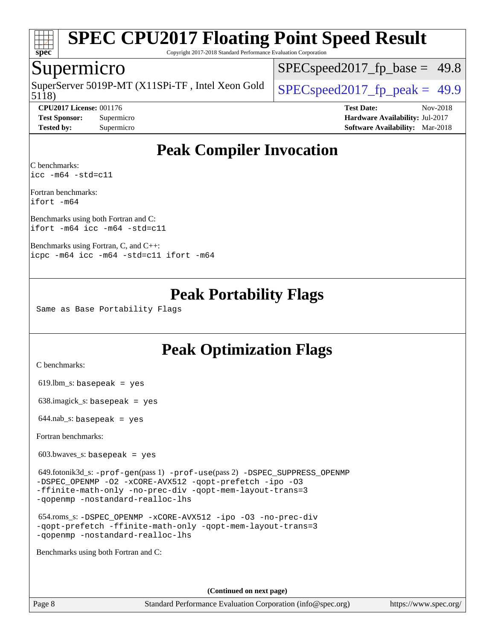

Copyright 2017-2018 Standard Performance Evaluation Corporation

### Supermicro

5118) SuperServer 5019P-MT (X11SPi-TF, Intel Xeon Gold  $\big|$  SPECspeed 2017 fp\_peak = 49.9

 $SPECspeed2017<sub>fp</sub> base = 49.8$ 

**[CPU2017 License:](http://www.spec.org/auto/cpu2017/Docs/result-fields.html#CPU2017License)** 001176 **[Test Date:](http://www.spec.org/auto/cpu2017/Docs/result-fields.html#TestDate)** Nov-2018 **[Test Sponsor:](http://www.spec.org/auto/cpu2017/Docs/result-fields.html#TestSponsor)** Supermicro **[Hardware Availability:](http://www.spec.org/auto/cpu2017/Docs/result-fields.html#HardwareAvailability)** Jul-2017 **[Tested by:](http://www.spec.org/auto/cpu2017/Docs/result-fields.html#Testedby)** Supermicro **[Software Availability:](http://www.spec.org/auto/cpu2017/Docs/result-fields.html#SoftwareAvailability)** Mar-2018

# **[Peak Compiler Invocation](http://www.spec.org/auto/cpu2017/Docs/result-fields.html#PeakCompilerInvocation)**

[C benchmarks](http://www.spec.org/auto/cpu2017/Docs/result-fields.html#Cbenchmarks): [icc -m64 -std=c11](http://www.spec.org/cpu2017/results/res2018q4/cpu2017-20181112-09650.flags.html#user_CCpeak_intel_icc_64bit_c11_33ee0cdaae7deeeab2a9725423ba97205ce30f63b9926c2519791662299b76a0318f32ddfffdc46587804de3178b4f9328c46fa7c2b0cd779d7a61945c91cd35)

[Fortran benchmarks:](http://www.spec.org/auto/cpu2017/Docs/result-fields.html#Fortranbenchmarks) [ifort -m64](http://www.spec.org/cpu2017/results/res2018q4/cpu2017-20181112-09650.flags.html#user_FCpeak_intel_ifort_64bit_24f2bb282fbaeffd6157abe4f878425411749daecae9a33200eee2bee2fe76f3b89351d69a8130dd5949958ce389cf37ff59a95e7a40d588e8d3a57e0c3fd751)

[Benchmarks using both Fortran and C](http://www.spec.org/auto/cpu2017/Docs/result-fields.html#BenchmarksusingbothFortranandC): [ifort -m64](http://www.spec.org/cpu2017/results/res2018q4/cpu2017-20181112-09650.flags.html#user_CC_FCpeak_intel_ifort_64bit_24f2bb282fbaeffd6157abe4f878425411749daecae9a33200eee2bee2fe76f3b89351d69a8130dd5949958ce389cf37ff59a95e7a40d588e8d3a57e0c3fd751) [icc -m64 -std=c11](http://www.spec.org/cpu2017/results/res2018q4/cpu2017-20181112-09650.flags.html#user_CC_FCpeak_intel_icc_64bit_c11_33ee0cdaae7deeeab2a9725423ba97205ce30f63b9926c2519791662299b76a0318f32ddfffdc46587804de3178b4f9328c46fa7c2b0cd779d7a61945c91cd35)

[Benchmarks using Fortran, C, and C++](http://www.spec.org/auto/cpu2017/Docs/result-fields.html#BenchmarksusingFortranCandCXX): [icpc -m64](http://www.spec.org/cpu2017/results/res2018q4/cpu2017-20181112-09650.flags.html#user_CC_CXX_FCpeak_intel_icpc_64bit_4ecb2543ae3f1412ef961e0650ca070fec7b7afdcd6ed48761b84423119d1bf6bdf5cad15b44d48e7256388bc77273b966e5eb805aefd121eb22e9299b2ec9d9) [icc -m64 -std=c11](http://www.spec.org/cpu2017/results/res2018q4/cpu2017-20181112-09650.flags.html#user_CC_CXX_FCpeak_intel_icc_64bit_c11_33ee0cdaae7deeeab2a9725423ba97205ce30f63b9926c2519791662299b76a0318f32ddfffdc46587804de3178b4f9328c46fa7c2b0cd779d7a61945c91cd35) [ifort -m64](http://www.spec.org/cpu2017/results/res2018q4/cpu2017-20181112-09650.flags.html#user_CC_CXX_FCpeak_intel_ifort_64bit_24f2bb282fbaeffd6157abe4f878425411749daecae9a33200eee2bee2fe76f3b89351d69a8130dd5949958ce389cf37ff59a95e7a40d588e8d3a57e0c3fd751)

# **[Peak Portability Flags](http://www.spec.org/auto/cpu2017/Docs/result-fields.html#PeakPortabilityFlags)**

Same as Base Portability Flags

# **[Peak Optimization Flags](http://www.spec.org/auto/cpu2017/Docs/result-fields.html#PeakOptimizationFlags)**

[C benchmarks](http://www.spec.org/auto/cpu2017/Docs/result-fields.html#Cbenchmarks):

619.lbm\_s: basepeak = yes

638.imagick\_s: basepeak = yes

 $644.nab$ <sub>S</sub>: basepeak = yes

[Fortran benchmarks](http://www.spec.org/auto/cpu2017/Docs/result-fields.html#Fortranbenchmarks):

603.bwaves\_s: basepeak = yes

 649.fotonik3d\_s: [-prof-gen](http://www.spec.org/cpu2017/results/res2018q4/cpu2017-20181112-09650.flags.html#user_peakPASS1_FFLAGSPASS1_LDFLAGS649_fotonik3d_s_prof_gen_5aa4926d6013ddb2a31985c654b3eb18169fc0c6952a63635c234f711e6e63dd76e94ad52365559451ec499a2cdb89e4dc58ba4c67ef54ca681ffbe1461d6b36)(pass 1) [-prof-use](http://www.spec.org/cpu2017/results/res2018q4/cpu2017-20181112-09650.flags.html#user_peakPASS2_FFLAGSPASS2_LDFLAGS649_fotonik3d_s_prof_use_1a21ceae95f36a2b53c25747139a6c16ca95bd9def2a207b4f0849963b97e94f5260e30a0c64f4bb623698870e679ca08317ef8150905d41bd88c6f78df73f19)(pass 2) [-DSPEC\\_SUPPRESS\\_OPENMP](http://www.spec.org/cpu2017/results/res2018q4/cpu2017-20181112-09650.flags.html#suite_peakPASS1_FOPTIMIZE649_fotonik3d_s_DSPEC_SUPPRESS_OPENMP) [-DSPEC\\_OPENMP](http://www.spec.org/cpu2017/results/res2018q4/cpu2017-20181112-09650.flags.html#suite_peakPASS2_FOPTIMIZE649_fotonik3d_s_DSPEC_OPENMP) [-O2](http://www.spec.org/cpu2017/results/res2018q4/cpu2017-20181112-09650.flags.html#user_peakPASS1_FOPTIMIZE649_fotonik3d_s_f-O2) [-xCORE-AVX512](http://www.spec.org/cpu2017/results/res2018q4/cpu2017-20181112-09650.flags.html#user_peakPASS2_FOPTIMIZE649_fotonik3d_s_f-xCORE-AVX512) [-qopt-prefetch](http://www.spec.org/cpu2017/results/res2018q4/cpu2017-20181112-09650.flags.html#user_peakPASS1_FOPTIMIZEPASS2_FOPTIMIZE649_fotonik3d_s_f-qopt-prefetch) [-ipo](http://www.spec.org/cpu2017/results/res2018q4/cpu2017-20181112-09650.flags.html#user_peakPASS2_FOPTIMIZE649_fotonik3d_s_f-ipo) [-O3](http://www.spec.org/cpu2017/results/res2018q4/cpu2017-20181112-09650.flags.html#user_peakPASS2_FOPTIMIZE649_fotonik3d_s_f-O3) [-ffinite-math-only](http://www.spec.org/cpu2017/results/res2018q4/cpu2017-20181112-09650.flags.html#user_peakPASS1_FOPTIMIZEPASS2_FOPTIMIZE649_fotonik3d_s_f_finite_math_only_cb91587bd2077682c4b38af759c288ed7c732db004271a9512da14a4f8007909a5f1427ecbf1a0fb78ff2a814402c6114ac565ca162485bbcae155b5e4258871) [-no-prec-div](http://www.spec.org/cpu2017/results/res2018q4/cpu2017-20181112-09650.flags.html#user_peakPASS2_FOPTIMIZE649_fotonik3d_s_f-no-prec-div) [-qopt-mem-layout-trans=3](http://www.spec.org/cpu2017/results/res2018q4/cpu2017-20181112-09650.flags.html#user_peakPASS1_FOPTIMIZEPASS2_FOPTIMIZE649_fotonik3d_s_f-qopt-mem-layout-trans_de80db37974c74b1f0e20d883f0b675c88c3b01e9d123adea9b28688d64333345fb62bc4a798493513fdb68f60282f9a726aa07f478b2f7113531aecce732043) [-qopenmp](http://www.spec.org/cpu2017/results/res2018q4/cpu2017-20181112-09650.flags.html#user_peakPASS2_FOPTIMIZE649_fotonik3d_s_qopenmp_16be0c44f24f464004c6784a7acb94aca937f053568ce72f94b139a11c7c168634a55f6653758ddd83bcf7b8463e8028bb0b48b77bcddc6b78d5d95bb1df2967) [-nostandard-realloc-lhs](http://www.spec.org/cpu2017/results/res2018q4/cpu2017-20181112-09650.flags.html#user_peakEXTRA_FOPTIMIZE649_fotonik3d_s_f_2003_std_realloc_82b4557e90729c0f113870c07e44d33d6f5a304b4f63d4c15d2d0f1fab99f5daaed73bdb9275d9ae411527f28b936061aa8b9c8f2d63842963b95c9dd6426b8a)

 654.roms\_s: [-DSPEC\\_OPENMP](http://www.spec.org/cpu2017/results/res2018q4/cpu2017-20181112-09650.flags.html#suite_peakFOPTIMIZE654_roms_s_DSPEC_OPENMP) [-xCORE-AVX512](http://www.spec.org/cpu2017/results/res2018q4/cpu2017-20181112-09650.flags.html#user_peakFOPTIMIZE654_roms_s_f-xCORE-AVX512) [-ipo](http://www.spec.org/cpu2017/results/res2018q4/cpu2017-20181112-09650.flags.html#user_peakFOPTIMIZE654_roms_s_f-ipo) [-O3](http://www.spec.org/cpu2017/results/res2018q4/cpu2017-20181112-09650.flags.html#user_peakFOPTIMIZE654_roms_s_f-O3) [-no-prec-div](http://www.spec.org/cpu2017/results/res2018q4/cpu2017-20181112-09650.flags.html#user_peakFOPTIMIZE654_roms_s_f-no-prec-div) [-qopt-prefetch](http://www.spec.org/cpu2017/results/res2018q4/cpu2017-20181112-09650.flags.html#user_peakFOPTIMIZE654_roms_s_f-qopt-prefetch) [-ffinite-math-only](http://www.spec.org/cpu2017/results/res2018q4/cpu2017-20181112-09650.flags.html#user_peakFOPTIMIZE654_roms_s_f_finite_math_only_cb91587bd2077682c4b38af759c288ed7c732db004271a9512da14a4f8007909a5f1427ecbf1a0fb78ff2a814402c6114ac565ca162485bbcae155b5e4258871) [-qopt-mem-layout-trans=3](http://www.spec.org/cpu2017/results/res2018q4/cpu2017-20181112-09650.flags.html#user_peakFOPTIMIZE654_roms_s_f-qopt-mem-layout-trans_de80db37974c74b1f0e20d883f0b675c88c3b01e9d123adea9b28688d64333345fb62bc4a798493513fdb68f60282f9a726aa07f478b2f7113531aecce732043) [-qopenmp](http://www.spec.org/cpu2017/results/res2018q4/cpu2017-20181112-09650.flags.html#user_peakFOPTIMIZE654_roms_s_qopenmp_16be0c44f24f464004c6784a7acb94aca937f053568ce72f94b139a11c7c168634a55f6653758ddd83bcf7b8463e8028bb0b48b77bcddc6b78d5d95bb1df2967) [-nostandard-realloc-lhs](http://www.spec.org/cpu2017/results/res2018q4/cpu2017-20181112-09650.flags.html#user_peakEXTRA_FOPTIMIZE654_roms_s_f_2003_std_realloc_82b4557e90729c0f113870c07e44d33d6f5a304b4f63d4c15d2d0f1fab99f5daaed73bdb9275d9ae411527f28b936061aa8b9c8f2d63842963b95c9dd6426b8a)

[Benchmarks using both Fortran and C](http://www.spec.org/auto/cpu2017/Docs/result-fields.html#BenchmarksusingbothFortranandC):

**(Continued on next page)**